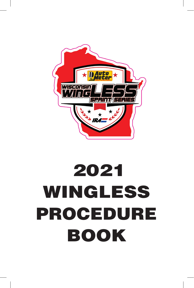

# 2021 WINGLESS PROCEDURE BOOK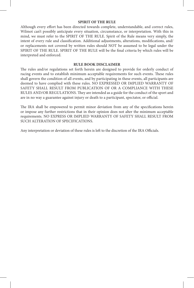#### **SPIRIT OF THE RULE**

Although every effort has been directed towards complete, understandable, and correct rules, Wilmot can't possibly anticipate every situation, circumstance, or interpretation. With this in mind, we must refer to the SPIRIT OF THE RULE. Spirit of the Rule means very simply, the intent of every rule and classification. Additional adjustments, alterations, modifications, and/ or replacements not covered by written rules should NOT be assumed to be legal under the SPIRIT OF THE RULE. SPIRIT OF THE RULE will be the final criteria by which rules will be interpreted and enforced.

#### **RULE BOOK DISCLAIMER**

The rules and/or regulations set forth herein are designed to provide for orderly conduct of racing events and to establish minimum acceptable requirements for such events. These rules shall govern the condition of all events, and by participating in these events, all participants are deemed to have complied with these rules. NO EXPRESSED OR IMPLIED WARRANTY OF SAFETY SHALL RESULT FROM PUBLICATION OF OR A COMPLIANCE WITH THESE RULES AND/OR REGULATIONS. They are intended as a guide for the conduct of the sport and are in no way a guarantee against injury or death to a participant, spectator, or official.

The IRA shall be empowered to permit minor deviation from any of the specifications herein or impose any further restrictions that in their opinion does not alter the minimum acceptable requirements. NO EXPRESS OR IMPLIED WARRANTY OF SAFETY SHALL RESULT FROM SUCH ALTERATION OF SPECIFICATIONS.

Any interpretation or deviation of these rules is left to the discretion of the IRA Officials.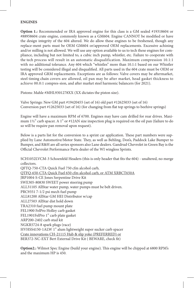#### **ENGINES**

**Option 1.:** Recommended or IRA approved engine for this class is a GM sealed #19318604 or #88958604 crate engine, commonly known as a GM604. Engine CANNOT be modified or have the design integrity of the 604 altered. We do allow these engines to be freshened, though any replace-ment parts must be OEM GM604 or/approved OEM replacements. Excessive achining and/or milling is not allowed. We will use any option available to us to tech these engines for compliance, including but not limited to, a cubic inch pump, whistler, etc. Failure to cooperate with the tech process will result in an automatic disqualification. Maximum compression 10.1:1 with no additional tolerance. Any 604 which "whistles" more than 10.1:1 based on our Whistler testing will be considered illegal and disqualified. All parts used in the 604 crate must be OEM or IRA approved GRM replacements. Exceptions are as follows: Valve covers may be aftermarket, steel timing chain covers are allowed, oil pan may be after market, head gasket thickness to achieve 00.0:1 compres-sion, and after market steel harmonic balancers (for 2021).

Pistons: Mahle #MHL9301278XX (XX dictates the piston size).

Valve Springs: New GM part #19420455 (set of 16) old part #12625033 (set of 16) Conversion part #12625033 (set of 16) (for changing from flat top springs to beehive springs)

Engine will have a maximum RPM of 6700. Engines may have cam drilled for rear drives. Maximum 1½" carb spacer. A 1" or #12AN size inspection plug is required on the oil pan (failure to do so will be require pan removal upon request).

Below is a parts list for the conversion to a sprint car application. These part numbers were supplied by Lane Automotive/Motor State. They, as well as Behling, Don's, Paddock Lake Bumper to Bumper, and R&H are all series sponsors also Lane dealers. Gandrud Chevrolet in Green Bay is the Official Chevrolet Performance Parts dealer of the WI wingless Sprints.

SCH1052LVCM-3 Schoenfeld Headers (this is only header that fits the 604) - unaltered, no merge collectors.

QFTQ-750-CTA Quick Fuel 750 cfm alcohol carb, QTFQ-650-CTA Quick Fuel 650 cfm alcohol carb, or ATM XRBCT650A JRP1004-S-CE Jones Serpentine Drive Kit SWE305-80830 SWEET power steering pump ALL31105 AllStar water pump, water pumps must be belt driven. PRC9351 7-1/2 psi mech fuel pump ALL81200 AllStar GM HEI Distributor w/cap ALL27503 AllStar dist hold down TRA2310 fuel pump mount plate FEL1900 FelPro Holley carb gasket FEL1901FelPro 1" carb plate gasket ARP200-2402 carb stud kit NGKR5724-8 spark plugs (race) HVHSS4150-1ALW 1" alum lightweight super sucker carb spacer Crate innovations CH-21115 Hub & slip yoke (PREFERRED) or BER372-NC-EXT Bert External Drive Kit ( BEWARE, check fit)

**Option2.:** Wilmot Spec Engine (build your engine). This engine will be chipped at 6800 RPM's and the maximum HP is 450.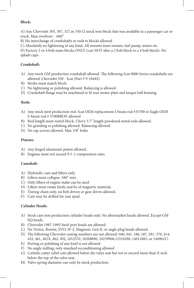#### **Block:**

A) Any Chevrolet 305, 307, 327,or 350 Cl stock iron block that was available in a passenger car or truck. Max overbore - .060"

B) No interchange of crankshafts or rods to blocks allowed.

C) Absolutely no lightening of any kind. All mounts must remain, fuel pump, motor etc.

D) Factory 2 or 4 bolt main blocks ONLY (can NOT alter a 2 bolt block to a 4 bolt block). No splade caps.

#### **Crankshaft:**

- A) Any stock GM production crankshaft allowed. The following Scat 9000 Series crankshafts are allowed: Chevrolet 350 - Scat (Part # 9-10442)
- B) Stroke must match block.
- C) No lightening or polishing allowed. Balancing is allowed .
- D) Crankshaft flange may be machined to fit rear motor plate and torque ball housing.

#### **Rods:**

- A) Any stock steel production rod. Scat OEM replacement I-beam rod #35700 or Eagle OEM I=beam rod # 5700BBLW allowed
- B) Rod length must match block. Chevy 5.7" length powdered metal rods allowed.
- C) No grinding or polishing allowed. Balancing allowed.
- D) No cap screws allowed. Max 3/8" bolts.

#### **Pistons:**

- A) Any forged aluminum piston allowed .
- B) Engines must not exceed 9.5 :1 compression ratio.

#### **Camshaft:**

- A) Hydraulic cam and lifters only.
- B) Lifters must collapse .100" min.
- C) Only lifters of engine make can be used
- D) Lifters must rotate freely and be of magnetic material.
- E) Timing chain only, no belt driven or gear drives allowed.
- F) Cam may be drilled for rear spud.

#### **Cylinder Heads:**

- A) Stock cast iron production cylinder heads only. No aftermarket heads allowed. Except GM EQ heads.
- B) Chevrolet 1987-1995 Swirl port heads are allowed.
- C) No Vortex, Bowtie, SVO, W-2, Magnum, Gen II, or angle plug heads allowed.
- D) The following Chevrolet casting numbers are not allowed. 040, 041, 186, 187, 291, 370, 414, 432, 461, 461X, 462, 492, 1012532, 10208890, 10239906,12554290, 14011083, or 14096217.
- E) Porting or polishing of any kind is not allowed
- F) No angle milling, only standard reconditioning allowed
- G) Carbide cutter relief cuts allowed below the valve seat but not to exceed more than X inch below the top of the valve seat.
- H) Valve spring diameter can only be stock production.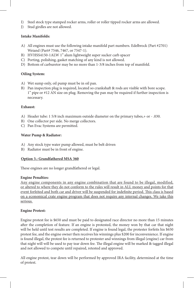- I) Steel stock type stamped rocker arms, roller or roller tipped rocker arms are allowed.
- J) Stud girdles are not allowed.

#### **Intake Manifolds:**

- A) All engines must use the following intake manifold part numbers. Edelbrock (Part #2701) Weiand (Part# 7546, 7467, or 7547-1).
- B) HVHSS4150-1ALW 1" alum lightweight super sucker carb spacer
- C) Porting, polishing, gasket matching of any kind is not allowed.
- D) Bottom of carburetor may be no more than 1-3/8 inches from top of manifold.

#### **Oiling System:**

- A) Wet sump only, oil pump must be in oil pan.
- B) Pan inspection plug is required, located so crankshaft & rods are visible with bore scope. 1" pipe or #12 AN size on plug. Removing the pan may be required if further inspection is necessary.

#### **Exhaust:**

- A) Header tube: 1 5/8 inch maximum outside diameter on the primary tubes,+ or .030.
- B) One collector per side. No merge collectors.
- C) Pan Evac Systems are permitted.

#### **Water Pump & Radiator:**

- A) Any stock type water pump allowed, must be belt driven
- B) Radiator must be in front of engine.

#### **Option 3.: Grandfathered MSA 360**

These engines are no longer grandfathered or legal.

#### **Engine Penalties:**

Any engine components in any engine combination that are found to be illegal, modified, or altered to where they do not conform to the rules will result in ALL money and points for that event forfeited and both car and driver will be suspended for indefinite period. This class is based on a economical crate engine program that does not require any internal changes. We take this serious.

#### **Engine Protest:**

Engine protest fee is \$650 and must be paid to designated race director no more than 15 minutes after the completion of feature. If an engine is protested, the money won by that car that night will be held until test results are completed. If engine is found legal, the protester forfeits his \$650 protest fee, and the engine owner then receives his winnings plus \$200 for inconvenience. If engine is found illegal, the protest fee is returned to protester and winnings from illegal (engine) car from that night will will be used to pay tear down fee. The illegal engine will be marked & tagged illegal and not allowed to compete until repaired, retested and approved.

All engine protest, tear down will be performed by approved IRA facility, determined at the time of protest.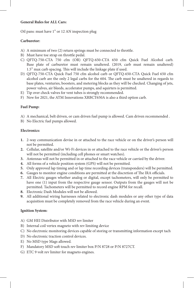#### **General Rules for ALL Cars:**

Oil pans: must have 1" or 12 AN inspection plug

#### **Carburetor:**

- A) A minimum of two (2) return springs must be connected to throttle.
- B) Must have toe strap on throttle pedal.
- C) QFTQ-750-CTA 750 cfm (OR) QFTQ-650-CTA 650 cfm Quick Fuel Alcohol carb. Base plate of carburetor must remain unaltered. (2019, carb must remain unaltered) 1.5" max carb spacing. This will include the linkage plate if used.
- D) QFTQ-750-CTA Quick Fuel 750 cfm alcohol carb or QFTQ-650-CTA Quick Fuel 650 cfm alcohol carb are the only 2 legal carbs for the 604. The carb must be unaltered in regards to base plates, venturies, boosters, and metering blocks as they will be checked. Changing of jets, power valves, air bleeds, accelerator pumps, and squirters is permitted.
- E) Tip over check valves for vent tubes is strongly recommended.
- F) New for 2021, the ATM Innovations XRBCT650A is also a third option carb.

#### **Fuel Pump:**

- A) A mechanical, belt driven, or cam driven fuel pump is allowed. Cam driven recommended .
- B) No Electric fuel pumps allowed.

#### **Electronics:**

- **1.** 2-way communication devise in or attached to the race vehicle or on the driver's person will not be permitted.
- **2.** Cellular, satellite and/or Wi-Fi devices in or attached to the race vehicle or the driver's person will not be permitted (including cell phones or smart watches).
- **3.** Antennas will not be permitted in or attached to the race vehicle or carried by the driver.
- **4.** All forms of a vehicle position system (GPS) will not be permitted.
- **5.** Only approved lap timing and or lap time recording devices (transponders) will be permitted.
- **6.** Gauges to monitor engine conditions are permitted at the discretion of The IRA officials.
- **7.** All Electric gauges whether analog or digital, except tachometers, will only be permitted to have one (1) input from the respective gauge sensor. Outputs from the gauges will not be permitted. Tachometers will be permitted to record engine RPM for recall.
- **8.** Electronic Dash Modules will not be allowed.
- **9.** All additional wiring harnesses related to electronic dash modules or any other type of data acquisition must be completely removed from the race vehicle during an event.

#### **Ignition System:**

- A) GM HEI Distributor with MSD rev limiter
- B) Internal coil vertex magneto with rev limiting device
- C) No electronic monitoring devices capable of storing or transmitting information except tach
- D) No electronic traction control devices.
- E) No MSD type Mags allowed.
- F) Mandatory MSD soft touch rev limiter box P/N 8728 or P/N 8727CT.
- G) ETC 9 volt rev limiter for magneto engines.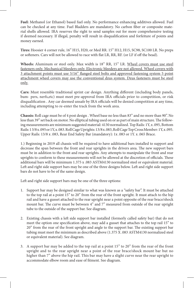**Fuel:** Methanol (or Ethanol) based fuel only. No performance enhancing additives allowed. Fuel can be checked at any time. Fuel Bladders are mandatory. No carbon fiber or composite material shells allowed. IRA reserves the right to send samples out for more comprehensive testing if deemed necessary. If illegal, penalty will result in disqualification and forfeiture of points and money earned.

**Tires:** Hoosier 4 corner rule, 16" H15, H20, or Med RR. 15" H12, H15, SC98, SC100 LR. No preps or softeners. Cars will not be allowed to race with flat LR, RR, RF. (or LF if off the bead).

**Wheels:** Aluminum or steel only. Max width is 18" RR, 15" LR. Wheel covers must use steel fasteners only. Mechanical bleeders only. Electronic bleeders are not allowed. Wheel covers with 3 attachment points must use 5/16" flanged steel bolts and approved fastening system 5 point attachment wheel covers may use the conventional dzus system. Dzus fasteners must be steel only.

**Cars:** Must resemble traditional sprint car design. Anything different (including body panels, bum- pers, nerfs,etc) must meet pre-approval from IRA officials prior to competition, or risk disqualification . Any car deemed unsafe by IRA officials will be denied competition at any time, including attempting to re-enter the track from the work area.

**Chassis:** Roll cage must be of 4 post design . Wheel base no less than 83" and no more than 90". No less than 39" set back on motor. No elliptical tubing used on or as part of main structure. The following measurements are minimum suggested material: 4130 normalized. Top Rails: 1Y, x .095, Bottom Rails: 1 3/8 x .095 or 1Y, x .083. Roll Cage Uprights: 13/8 x .083, Roll Cage Top Cross Member: 1Y, x .095. Upper Rails: 13/8 x .083, Rear End Safety Bar (mandatory): 1x .083 or 1Y. x .065 Brace.

1.) Beginning in 2019 all chassis will be required to have additional bars installed to support and decrease the span between the front and rear uprights in the drivers area. The new support bars must be in addition to the front and rear uprights. Any attempts to manipulate the front and rear uprights to conform to these measurements will not be allowed at the discretion of officials. These additional bars will be minimum 1.375 x .083 ASTM4130 normalized steel or equivalent material. Left and right side support bars may be one of the three designs below. Left and right side support bars do not have to be of the same design.

Left and right side support bars may be one of the three options:

- 1. Support bar may be designed similar to what was known as a "safety bar". It must be attached to the top rail at a point 15" to 20" from the rear of the front upright. It must attach to the hip rail and have a gusset attached to the rear upright near a point opposite of the rear brace/shock mount bar. The curve must be between 4" and 7" measured from outside of the rear upright tube to the outside of the support bar. See diagram.
- 2. Existing chassis with a left side support bar installed (formerly called safety bar) that do not meet the option one specification above, may add a gusset that attaches to the top rail 15" to 20" from the rear of the front upright and angle to the support bar. The existing support bar tubing must meet the minimum as described above (1.375 X .083 ASTM4130 normalized steel or equivalent material). See diagram.
- 3. A support bar may be added to the top rail at a point 15" to 20" from the rear of the front upright and to the rear upright near a point of the rear brace/shock mount bar but no higher than 7" above the hip rail. This bar may have a slight curve near the rear upright to accommodate elbow room and ease of fitment. See diagram.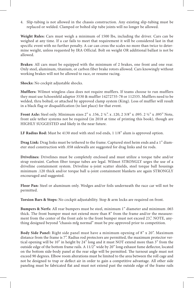4. Slip-tubing is not allowed in the chassis construction. Any existing slip-tubing must be replaced or welded. Clamped or bolted slip tube joints will no longer be allowed.

**Weight Rules:** Cars must weigh a minimum of 1500 lbs, including the driver. Cars can be weighed at any time. If a car fails to meet that requirement it will be considered last in that specific event with no further penalty. A car can cross the scales no more than twice to determine weight, unless requested by IRA Official. Bolt on weight OR additional ballast is not be allowed.

**Brakes:** All cars must be equipped with the minimum of 2 brakes, one front and one rear. Only steel, aluminum, titanium, or carbon fiber brake rotors allowed. Cars knowingly without working brakes will not be allowed to race, or resume racing.

**Shocks:** No cockpit adjustable shocks.

**Mufflers:** Wilmot wingless class does not require mufflers. If teams choose to run mufflers they must use Schoenfeld adaptor 3530 & muffler 14272735-78 or 112535. Mufflers need to be welded, thru bolted, or attached by approved clamp system (King). Loss of muffler will result in a black flag or disqualification (to last place) for that event.

**Front Axle:** Steel only. Minimum sizes 2" x .156, 2 ¼". x .120, 2 3/8" x .095. 2 ½" x .095" Note, front axle tether systems not be required (in 2018 at time of printing this book), though are HIGHLY SUGGESTED and likely in the near future.

**LF Radius Rod:** Must be 4130 steel with steel rod ends, 1 1/8" alum is approved option.

**Drag Link:** Drag links must be tethered to the frame. Captured steel heim ends and a 1" diameter steel construction with .058 sidewalls are suggested for drag links and tie rods.

**Drivelines:** Drivelines must be completely enclosed and must utilize a torque tube and/or strap restraint. Carbon fiber torque tubes are legal. Wilmot STRONGLY urges the use of a driveline containment system. Driveline u-joint scatter shields, steel torque ball housings minimum .120 thick and/or torque ball u-joint containment blankets are again STRONGLY encouraged and suggested.

**Floor Pan:** Steel or aluminum only. Wedges and/or foils underneath the race car will not be permitted.

**Torsion Bars & Stops:** No cockpit adjustability. Stop & arm locks are required on front.

**Bumpers & Nerfs:** All rear bumpers must be steel, minimum 1" diameter and minimum .065 thick. The front bumper must not extend more than 8" from the frame and/or the measurement from the center of the front axle to the front bumper must not exceed 23,". NOTE, anything designed beyond "chassis mfg normal" must be pre-approved prior to competition.

**Body Side Panel:** Right side panel must have a minimum opening of 8" x 20". Maximum distance from the frame is 7". Radius rod protectors are permitted, the maximum protector vertical opening will be 10" in height by 24" long and it must NOT extend more than 3" from the outside edge of the bottom frame rails. A 11/2" wide by 20" long exhaust fume deflector, located on the bottom side-body panel at the rear edge will be permitted. The turnout angle must not exceed 90 degrees. Elbow room alterations must be limited to the area between the roll cage and not be designed to trap or deflect air in order to gain a competitive advantage. All other side paneling must be fabricated flat and must not extend past the outside edge of the frame rails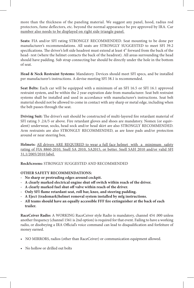more than the thickness of the paneling material. We suggest any panel, hood, radius rod protectors, fume deflectors, etc. beyond the normal appearance be pre approved by IRA. Car number also needs to be displayed on right side triangle panel.

**Seats:** FIA and/or SFI rating STRONGLY RECOMMENDED. Seat mounting to be done per manufacturer's recommendations. All seats are STRONGLY SUGGESTED to meet SFI 39.2 specifications. The driver's left side headrest must extend at least 4" forward from the back of the head- rest (where the helmet contacts the back of the headrest). All areas surrounding the head should have padding. Sub strap connecting bar should be directly under the hole in the bottom of seat.

**Head & Neck Restraint Systems:** Mandatory. Devices should meet SFI specs, and be installed per manufacturer's instructions. A devise meeting SFI 38.1 is recommended.

**Seat Belts:** Each car will be equipped with a minimum of an SFI 16.5 or SFI 16.1 approved restraint system, and be within the 2 year expiration date from manufacturer. Seat belt restraint systems shall be installed and used in accordance with manufacturer's instructions. Seat belt material should not be allowed to come in contact with any sharp or metal edge, including when the belt passes through the seat.

**Driving Suit:** The driver's suit should be constructed of multi-layered fire retardant material of SFI rating 3 .2A/5 or above. Fire retardant gloves and shoes are mandatory. Nomex (or equivalent) underwear, socks, head sock and/or head skirt are also STRONGLY RECOMMENDED. Arm restraints are also STRONGLY RECOMMENDED, as are knee pads and/or protection around or near steering box.

**Helmets:** All drivers ARE REQUIRED to wear a full face helmet with a minimum safety rating of FIA 8860-2010, Snell SA 2010, SA2015, or better. Snell SAH 2010 and/or valid SFI 31,1/2005/2010 label.

**RockScreens:** STRONGLY SUGGESTED AND RECOMMENDED

#### **OTHER SAFETY RECOMMENDATIONS:**

- **- No sharp or protruding edges around cockpit.**
- **- A clearly marked electrical engine shut off switch within reach of the driver.**
- **- A clearly marked fuel shut off valve within reach of the driver.**
- **- Only SFI flame retardant seat, roll bar, knee, and steering padding.**
- **- A Eject (trademark)helmet removal system installed by mfg instructions.**
- **- All teams should have an equally accessible FFF fire extinguisher at the back of each trailer.**

**RaceCeiver Radio:** A WORKING RaceCeiver style Radio is mandatory, channel 454 .000 unless another frequency (channel 1561 is 2nd option) is required for that event. Failing to have a working radio, or disobeying a IRA Official's voice command can lead to disqualification and forfeiture of money earned.

- NO MIRRORS, radios (other than RaceCeiver) or communication equipment allowed.
- No hollow or drilled out bolts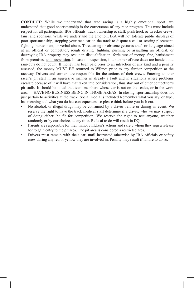**CONDUCT:** While we understand that auto racing is a highly emotional sport, we understand that good sportsmanship is the cornerstone of any race program. This must include respect for all participants, IRA officials, track ownership & staff, push truck & wrecker crews, fans, and sponsors. While we understand the emotion, IRA will not tolerate public displays of poor sportsmanship, stopping your race car on the track to dispute a call or scoring placement, fighting, harassment, or verbal abuse. Threatening or obscene gestures and/ or language aimed at an official or competitor, rough driving, fighting, pushing or assaulting an official, or destroying IRA property may result in disqualification, forfeiture of money, fine, banishment from premises, and suspension. In case of suspension, if a number of race dates are handed out, rain-outs do not count. If money has been paid prior to an infraction of any kind and a penalty assessed, the money MUST BE returned to Wilmot prior to any further competition at the raceway. Drivers and owners are responsible for the actions of their crews. Entering another racer's pit stall in an aggressive manner is already a fault and in situations where problems escalate because of it will have that taken into consideration, thus stay out of other competitor's pit stalls. It should be noted that team members whose car is not on the scales, or in the work area .... HAVE NO BUSINESS BEING IN THOSE AREAS! In closing, sportsmanship does not just pertain to activities at the track. Social media is included Remember what you say, or type, has meaning and what you do has consequences, so please think before you lash out.

- No alcohol, or illegal drugs may be consumed by a driver before or during an event. We reserve the right to have the track medical staff determine if a driver, who we may suspect of doing either, be fit for competition. We reserve the right to test anyone, whether randomly or by our choice, at any time. Refusal to do will result in DQ.
- Parents are responsible for their minor children's actions and safety whom they sign a release for to gain entry to the pit area. The pit area is considered a restricted area.
- Drivers must remain with their car, until instructed otherwise by IRA officials or safety crew during any red or yellow they are involved in. Penalty may result if failure to do so.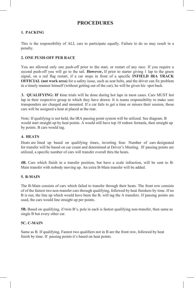### **PROCEDURES**

#### **1. PACKING**

This is the responsibility of ALL cars to participate equally. Failure to do so may result in a penalty.

#### **2. ONE PUSH-OFF PER RACE**

You are allowed only one push-off prior to the start, or restart of any race. If you require a second push-off you will go to the tail. **However,** If prior to starter giving 1 lap to the green signal, on a red flag restart, if a car stops in front of a specific **INFIELD IRA TRACK OFFICIAL (not work area)** for a safety issue, such as seat belts, and the driver can fix problem in a timely manner himself (without getting out of the car), he will be given his spot back.

**3. QUALIFYING: IF t**ime trials will be done during hot laps in most cases. Cars MUST hot lap in their respective group in which they have drawn. It is teams responsibility to make sure transponders are charged and mounted. If a car fails to get a time or misses their session, those cars will be assigned a heat at placed at the rear.

Note: If qualifying is not held, the IRA passing point system will be utilized. See diagram. B would start straight up by heat points. A would still have top 10 redraw formula, then straight up by points. B cars would tag.

#### **4. HEATS**

Heats are lined up based on qualifying times, inverting four. Number of cars designated for transfer will be based on car count and determined at Driver's Meeting. IF passing points are utilized, a specific number of cars will transfer overall thru the heats.

**4B.** Cars which finish in a transfer position, but have a scale infraction, will be sent to B-Main transfer with nobody moving up. An extra B-Main transfer will be added.

#### **5. B-MAIN**

The B-Main consists of cars which failed to transfer through their heats. The front row consists of of the fastest two non-transfer cars through qualifying, followed by heat finishers by time. If no B is run, the line up which would have been the B, will tag the A transfers. If passing points are used, the cars would line straight up per points.

**5B.** Based on qualifying, if twin B's, pole in each is fastest qualifying non-transfer, then same as single B but every other car.

#### **5C. C-MAIN**

Same as B. If qualifying, Fastest two qualifiers not in B are the front row, followed by heat finish by time. If passing points it's based on heat points.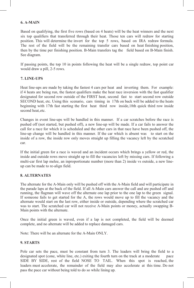#### **6. A-MAIN**

Based on qualifying, the first five rows (based on 4 heats) will be the heat winners and the next six top qualifiers that transferred through their heat. Those ten cars will redraw for starting position. This will determine the invert for the top 5 rows, based on IRA redraw formula. The rest of the field will be the remaining transfer cars based on heat finishing position, then by the time per finishing position. B-Main transfers tag the field based on B-Main finish. See diagram.

If passing points, the top 10 in points following the heat will be a single redraw, top point car would draw a pill, 2-5 rows.

#### **7. LINE-UPS**

Heat line-ups are made by taking the fastest 4 cars per heat and inverting them. For example: if 4 heats are being run, the fastest qualifiers make the heat race inversion with the fast qualifier designated for second row outside of the FIRST heat, second fast to start second row outside SECOND heat, etc. Using this scenario, cars timing in 17th on back will be added to the heats beginning with 17th fast starting the first heat third row inside,18th quick third row inside second heat, etc.

Changes in event line-ups will be handled in this manner. If a car scratches before the race is pushed off (not started, but pushed off), a new line-up will be made. If a car fails to answer the call for a race for which it is scheduled and the other cars in that race have been pushed off, the line-up change will be handled in this manner. If the car which is absent was to start on the inside of a row, the inside row only moves straight up filling the vacancy left by the scratched car.

If the initial green for a race is waved and an incident occurs which brings a yellow or red, the inside and outside rows move straight up to fill the vacancies left by missing cars. If following a multi-car first lap melee, an inproportionate number (more than 2) inside vs outside, a new lineup can be made to re-align field.

#### **8. ALTERNATES**

The alternate for the A-Main only will be pushed off with the A-Main field and will participate in the parade laps at the back of the field. If all A-Main cars answer the call and are pushed off and running, the flagman will wave off the alternate one lap prior to the one lap to the green signal. If someone fails to get started for the A, the rows would move up to fill the vacancy and the alternate would start on the last row, either inside or outside, depending where the scratched car was to start. The scratched car will not receive A-Main points or money, actually swapping B-Main points with the alternate.

Once the initial green is waved, even if a lap is not completed, the field will be deemed complete, and no alternate will be added to replace damaged cars.

Note: There will be an alternate for the A-Main ONLY.

#### **9. STARTS**

Pole car sets the pace, must be constant from turn 3. The leaders will bring the field to a designated spot (cone, white line, etc.) exiting the fourth turn on the track at a moderate pace SIDE BY SIDE, rest of the field NOSE TO TAIL. When this spot is reached, the leaders must accelerate, the remainder of the field may also accelerate at this time. Do not pass the pace car without being told to do so while lining up.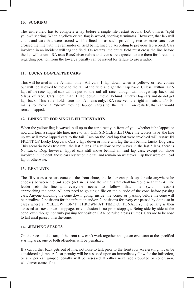#### **10. SCORING**

The entire field has to complete a lap before a single file restart occurs. IRA utilizes "split yellow" scoring. When a yellow or red flag is waved, scoring terminates. However, that lap will count and cars that were scored will be lined up as such, providing two or more cars have crossed the line with the remainder of field being lined up according to previous lap scored. Cars involved in an incident will tag the field. On restarts, the entire field must cross the line before the lap will count. IRA uses RaceCeiver radios and teams are expected to use them for directions regarding position from the tower, a penalty can be issued for failure to use a radio.

#### **11. LUCKY DOG/LAPPEDCARS**

This will be used in the A-main only. All cars 1 lap down when a yellow, or red comes out will be allowed to move to the tail of the field and get their lap back. Unless within last 5 laps of the race, lapped cars will be put to the tail all race, though will not get lap back last 5 laps of race. Cars more than 1 lap down, move behind Lucky Dog cars and do not get lap back. This rule holds true for A-mains only. IRA reserves the right in heats and/or Bmains to move a "slow" moving lapped car(s) to the tail on restarts, that car would remain lapped.

#### **12. LINING UP FOR SINGLE FILERESTARTS**

When the yellow flag is waved, pull up to the car directly in front of you, whether it be lapped or not, and form a single file line, nose to tail. GET SINGLE FILE! Once the scorers have the line up we will move lapped cars to the tail. Cars on the lead lap that were involved will restart IN FRONT OF Lucky Dog cars. Cars 2 laps down or more will tag the tail behind Lucky Dog cars. This scenario holds true until the last 5 laps. If a yellow or red waves in the last 5 laps, there is No Lucky Dog, however lapped cars still move behind all lead lap cars, except for those involved in incident, those cars restart on the tail and remain on whatever lap they were on, lead lap or otherwise.

#### **13. RESTARTS**

The IRA uses a restart cone on the front-chute, the leader can pick up throttle anywhere he chooses between the 3-4 apex (not in 3) and the initial start chalkline/cone near turn 4. The leader sets the line and everyone needs to follow that line (within reason) leader sets the line and everyone needs to follow that line (within reason) approaching the cone. All cars need to go single file on the outside of the cone before passing cars. Anyone knocking the cone down, going inside the cone, or passing before the cone will be penalized 2 positions for the infraction and/or 2 positions for every car passed by doing so in cases where a YELLOW ISN'T THROWN AT TIME OF PENALTY, the penalty is then assessed at next race stoppage, or conclusion if no prior stoppage. Being side by side at the cone, even though not truly passing for position CAN be ruled a pass (jump). Cars are to be nose to tail until passed thru the cone.

#### **14. JUMPING STARTS**

On the races initial start, if the front row can't work together and get an even start at the specified starting area, one or both offenders will be penalized.

If a car further back gets out of line, not nose to tail, prior to the front row accelerating, it can be considered a jump. A 2 car penalty will be assessed upon an immediate yellow for the infraction, or a 2 per car jumped penalty will be assessed at either next race stoppage or conclusion, whichever comes first.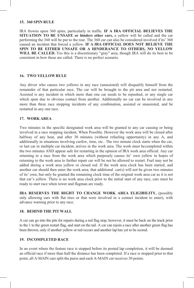#### **15. 360 SPIN RULE**

IRA frowns upon 360 spins, particularly in traffic. **IF A IRA OFFICIAL BELIEVES THE SITUATION TO BE UNSAFE or hinders other cars,** a yellow will be called and the car performing the 360 will be put to the rear. The 360 car can also be considered involved if its' 360 caused an incident that forced a yellow. **IF A IRA OFFICIAL DOES NOT BELIEVE THE SPIN TO BE EITHER UNSAFE OR A HINDERANCE TO OTHERS, NO YELLOW WILL BE CALLED.** Yes this is a discretionary "gray" area, though IRA will do its best to be consistent in how these are called. There is no perfect scenario.

#### **16. TWO YELLOWRULE**

Any driver who causes two yellows in any race (unassisted) will disqualify himself from the remainder of that particular race. The car will be brought to the pit area and not restarted. Assisted is any incident in which more than one car needs to be repushed, or any single car which spun due to obvious contact from another. Additionally no car can be involved in any more than three race stopping incidents of any combination, assisted or unassisted, and be restarted in any one race.

#### **17. WORK AREA**

Two minutes in the specific designated work area will be granted to any car causing or being involved in a race stopping incident, When Possible. However the work area will be closed after halfway of any heat, and after 30 minutes (without refueling opportunity) in any A, and additionally in situations involving curfew, time, etc.. The two minute clock starts when the car, or last car in multiple car incident, arrives in the work area. The work must becompleted within the two minutes AND appear safe for restarting in the opinion of IRA work area official. Any car returning to a race from the work area which purposely causes its' own yellow in hopes of returning to the work area to further repair car will be not be allowed to restart. Fuel may not be added during a work area yellow or closed red. If the work area clock has been started, and another car should then enter the work area, that additional  $car(s)$  will not be given two minutes of its' own, but only be granted the remaining clock time of the original work area car as it is not that car's yellow. There is no work area clock prior to the initial start of any race, cars must be ready to start race when tower and flagman are ready.

**IRA RESERVES THE RIGHT TO CHANGE WORK AREA ELIGIBILITY,** (possibly only allowing cars with flat tires or that were involved in a contact incident to enter), with advance warning prior to any race.

#### **18. BEHIND THE PIT WALL**

A car can go into the pits for repairs during a red flag stop, however, it must be back on the track prior to the 1 to the green restart flag, and start on the tail. A car can rejoin a race after another green flag has been thrown, only if another yellow or red occurs and another lap has yet to be scored.

#### **19. INCOMPLETED RACE**

In an event where the feature race is stopped before its posted lap completion, it will be deemed an official race if more than half the distance has been completed. If a race is stopped prior to that point, all A-MAIN cars split the purse and each A-MAIN car receives 30 points.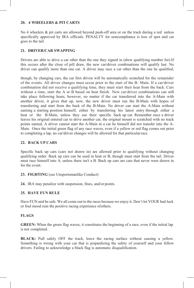#### **20. 4 WHEELERS & PIT CARTS**

No 4 wheelers & pit carts are allowed beyond push-off area or on the track during a red unless specifically approved by IRA officials. PENALTY for noncompliance is loss of spot and car goes to the tail.

#### **21. DRIVER/CAR SWAPPING**

Drivers are able to drive a car other than the one they signed in (drew qualifying number for).If this occurs after the close of pill draw, the new car/driver combinations will qualify last. No driver can qualify more than one car. A driver may race a car other than the one he qualified,

though, by changing cars, the car first driven will be automatically scratched for the remainder of the events. All driver changes must occur prior to the start of the B- Main. If a car/driver combination did not receive a qualifying time, they must start their heat from the back. Cars without a time, start the A or B based on heat finish. New car/driver combinations can still take place following heats, however, no matter if the car transferred into the A-Main with another driver, it gives that up, now, the new driver must run the B-Main with hopes of transferring and start from the back of the B-Main. No driver can start the A-Main without earning a starting position himself, either by transferring his latest entry through either a heat or the B-Main, unless they use their specific back up car. Remember once a driver leaves his original entered car to drive another car, the original mount is scratched with no track points earned. A driver cannot start the A-Main in a car he himself did not transfer into the A-Main. Once the initial green flag of any race waves, even if a yellow or red flag comes out prior to completing a lap, no car/driver changes will be allowed for that particularrace.

#### **22. BACK UP CARS**

Specific back up cars (cars not drawn in) are allowed prior to qualifying without changing qualifying order. Back up cars can be used in heat or B, though must start from the tail. Driver must race himself into A, unless there isn't a B. Back up cars are cars that never were drawn in for the event.

#### **23. FIGHTING** (see Unsportsmanlike Conduct)

**24.** IRA may penalize with suspension, fines, and/or points.

#### **25. HAVE FUN RULE**

Have FUN and be safe. We all come out to the races because we enjoy it. Don't let YOUR bad luck or foul mood ruin the positive racing experience ofothers.

#### **FLAGS**

**GREEN:** When the green flag waves, it constitutes the beginning of a race, even if the initial lap is not completed.

**BLACK:** Pull safely OFF the track, leave the racing surface without causing a yellow. Something is wrong with your car that is jeopardizing the safety of yourself and your fellow drivers. Failing to acknowledge a black flag is automatic disqualification.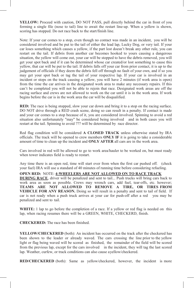**YELLOW:** Proceed with caution, DO NOT PASS, pull directly behind the car in front of you forming a single file (nose to tail) line to await the restart line-up. When a yellow is shown, scoring has stopped. Do not race back to the start/finish line.

Note: If your car comes to a stop, even though no contact was made in an incident, you will be considered involved and be put to the tail of either the lead lap, Lucky Dog, or very tail. If your car loses something which causes a yellow, if the part lost doesn't break any other rule, you can restart on the tail. If debris from another car becomes hooked to yours causing a dangerous situation, the yellow will come out, your car will be stopped to have the debris removed, you will get your spot back and if it can be determined whose car created/or lost something to cause this yellow, that car will be put to the tail. If debris falls off your car from prior contact, it is up to the judgement of officials if they deem the debris fell off through no fault of your own, and if so you may get your spot back or tag the tail of your respective lap. If your car is involved in an incident or stops on the track causing a yellow, you will have 2 minutes (if work area is open) from the time the car arrives in the designated work area to make any necessary repairs. If this can't be completed you will not be able to rejoin that race. Designated work areas are off the racing surface and crews are not allowed to work on the car until it is in the work area. If work begins before the car is in the work area the car will be disqualified.

**RED:** The race is being stopped, slow your car down and bring it to a stop on the racing surface. DO NOT drive through a RED crash scene, doing so can result in a penalty. If contact is made and your car comes to a stop because of it, you are considered involved. Spinning to avoid a red situation also unfortunately "may" be considered being involved and in both cases you will restart at the tail. Spinning to avoid ??? will be determined by race director.

Red flag condition will be considered **A CLOSED TRACK** unless otherwise stated by IRA officials. The track will be opened to crew members **ONLY IF** it is going to take a considerable amount of time to clean up the incident and **ONLY AFTER** all cars are in the work area.

Cars involved in red will be allowed to go to work area/hauler to be worked on, but must ready when tower indicates field is ready to restart.

Any time there is an open red, time will start over from when the first car pushed off. (check your fuel) IRA will use a standard of 40 minutes of running time before considering refueling.

#### **OPEN RED:** NOTE: **4-WHEELERS ARE NOT ALLOWED ON TO RACE TRACK**

**DURING RACE**, driver will be penalized and sent to tail... Push trucks will bring cars back to work area as soon as possible. Crews may wrench cars, add fuel, tear-offs, etc. however; **TEAMS ARE NOT ALLOWED TO REMOVE A TIRE, OR TIRES FROM VEHICLE FOR ANY REASON.** Doing so will result in a penalty and sent to tail of field. If car is not ready when a push truck arrives at your car for push-off after a red you may be penalized and sent to tail.

**WHITE:** 1 lap to go before the completion of a race. If a yellow or red flag is needed on this lap, when racing resumes there will be a GREEN, WHITE, CHECKERD, finish.

**CHECKERED:** The race has been finished.

**YELLOW/CHECKERED** (both): An incident has occurred on the track after the checkered has been shown to the leader or already waved. The cars crossing the line prior to the yellow light or flag being waved will be scored as finished, the remainder of the field will be scored from the previous lap, except for the cars involved in the incident, they will tag the last scored lap. Weather, curfew, or track conditions can also cause ayellow/checkered.

**RED/CHECKERED** (both): Same as yellow/checkered, however, the incident is more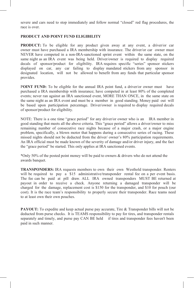severe and cars need to stop immediately and follow normal "closed" red flag procedures, the race is over.

#### **PRODUCT AND POINT FUND ELIGIBILITY**

**PRODUCT:** To be eligible for any product given away at any event, a driver/or car owner must have purchased a IRA membership with insurance. The driver/or car owner must NEVER have competed in a non-IRA-sanctioned sprint event within the same state, on the same night as an IRA event was being held. Driver/owner is required to display required decals of sponsor/product for eligibility. IRA requires specific "series" sponsor stickers displayed on car, any car failing to display mandated stickers from any sponsor in designated location, will not be allowed to benefit from any funds that particular sponsor provides.

**POINT FUND:** To be eligible for the annual IRA point fund, a driver/or owner must have purchased a IRA membership with insurance; have competed in at least 80% of the completed events; never ran against an IRA sanctioned event, MORE THAN ONCE, in the same state on the same night as an IRA event and must be a member in good standing. Money paid out will be based upon participation percentage. Driver/owner is required to display required decals of sponsor/product for eligibility.

NOTE: There is a one time "grace period" for any driver/or owner who is an IRA member in good standing that meets all the above criteria. This "grace period" allows a driver/owner to miss remaining number of consecutive race nights because of a major crash, or a major engine problem, specifically, a blown motor that happens during a consecutive series of racing. These missed nights should not be deducted from the driver/ owner's 80% participation requirements. An IRA official must be made known of the severity of damage and/or driver injury, and the fact the "grace period" be started. This only applies at IRA sanctioned events.

\*Only 50% of the posted point money will be paid to owners & drivers who do not attend the awards banquet.

**TRANSPONDERS:** IRA requests members to own their own Westhold transponder. Renters will be required to pay a \$15 administrative/transponder rental fee on a per event basis. The fee can be paid at pill draw. ALL IRA owned transponders MUST BE returned at payout in order to receive a check. Anyone returning a damaged transponder will be charged for the damage, replacement cost is \$150 for the transponder, and \$10 for pouch (our cost). It is the race team's responsibility to properly secure their transponder. Race teams need to at least own their own pouches.

**PAYOUT:** To expedite and keep actual purse pay accurate, Tire & Transponder bills will not be deducted from purse checks. It is TEAMS responsibility to pay for tires, and transponder rentals separately and timely, and purse pay CAN BE held if tires and transponder fees haven't been paid in such manner.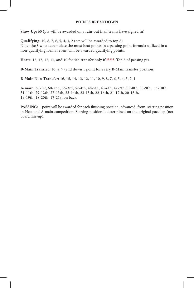#### **POINTS BREAKDOWN**

**Show Up:** 60 (pts will be awarded on a rain-out if all teams have signed in)

**Qualifying:** 10, 8, 7, 6, 5, 4, 3, 2 (pts will be awarded to top 8) Note, the 8 who accumulate the most heat points in a passing point formula utilized in a non-qualifying format event will be awarded qualifying points.

**Heats:** 15, 13, 12, 11, and 10 for 5th transfer only if ?????. Top 5 of passing pts.

**B-Main Transfer:** 10, 8, 7 (and down 1 point for every B-Main transfer position)

**B-Main Non-Transfer:** 16, 15, 14, 13, 12, 11, 10, 9, 8, 7, 6, 5, 4, 3, 2, 1

**A-main:** 65-1st, 60-2nd, 56-3rd, 52-4th, 48-5th, 45-6th, 42-7th, 39-8th, 36-9th, 33-10th, 31-11th, 29-12th, 27-13th, 25-14th, 23-15th, 22-16th, 21-17th, 20-18th, 19-19th, 18-20th, 17-21st on back

**PASSING:** 1 point will be awarded for each finishing position advanced from starting position in Heat and A-main competition. Starting position is determined on the original pace lap (not board line-up).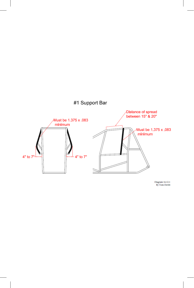

Diagram 16.12.1<br>By Tom Devitt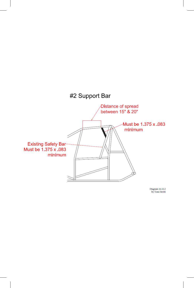

Diagram 16.12.2<br>by Tom Devitt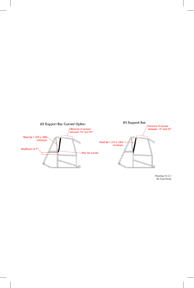

Drawing 16.12.3<br>By Tom Devitt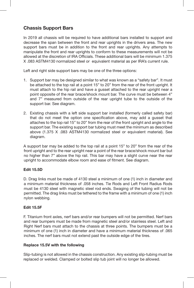## **Chassis Support Bars**

In 2019 all chassis will be required to have additional bars installed to support and decrease the span between the front and rear uprights in the drivers area. The new support bars must be in addition to the front and rear uprights. Any attempts to manipulate the front and rear uprights to conform to these measurements will not be allowed at the discretion of IRA Officials. These additional bars will be minimum 1.375 X .083 ASTM4130 normalized steel or equivalent material as per IRA's current rule.

Left and right side support bars may be one of the three options:

- 1. Support bar may be designed similar to what was known as a "safety bar". It must be attached to the top rail at a point 15" to 20" from the rear of the front upright. It must attach to the hip rail and have a gusset attached to the rear upright near a point opposite of the rear brace/shock mount bar. The curve must be between 4" and 7" measured from outside of the rear upright tube to the outside of the support bar. See diagram.
- 2. Existing chassis with a left side support bar installed (formerly called safety bar) that do not meet the option one specification above, may add a gusset that attaches to the top rail 15" to 20" from the rear of the front upright and angle to the support bar. The existing support bar tubing must meet the minimum as described above (1.375 X .083 ASTM4130 normalized steel or equivalent material). See diagram.

A support bar may be added to the top rail at a point 15" to 20" from the rear of the front upright and to the rear upright near a point of the rear brace/shock mount bar but no higher than 7" above the hip rail. This bar may have a slight curve near the rear upright to accommodate elbow room and ease of fitment. See diagram.

#### **Edit 15.5D**

D. Drag links must be made of 4130 steel a minimum of one (1) inch in diameter and a minimum material thickness of .058 inches. Tie Rods and Left Front Radius Rods must be 4130 steel with magnetic steel rod ends. Swaging of the tubing will not be permitted. The drag links must be tethered to the frame with a minimum of one (1) inch nylon webbing.

#### **Edit 15.5F**

F. Titanium front axles, nerf bars and/or rear bumpers will not be permitted. Nerf bars and rear bumpers must be made from magnetic steel and/or stainless steel. Left and Right Nerf bars must attach to the chassis at three points. The bumpers must be a minimum of one (1) inch in diameter and have a minimum material thickness of .065 inches. The nerf bars must not extend past the outside edge of the tires.

#### **Replace 15.5V with the following**

Slip-tubing is not allowed in the chassis construction. Any existing slip-tubing must be replaced or welded. Clamped or bolted slip tub joint will no longer be allowed.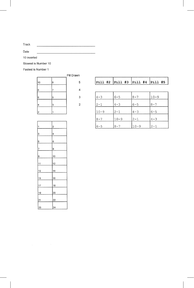Track

Date

10 inverted

Slowest is Number 10

Fastest is Number 1

|                         |   | Pill Drawn     |
|-------------------------|---|----------------|
| 10                      | 9 | 5              |
| 8                       | 7 |                |
| 6                       | 5 | 3              |
| 4                       | 3 | $\overline{2}$ |
| $\overline{\mathbf{z}}$ |   |                |

| 1               | $\overline{2}$                                       |
|-----------------|------------------------------------------------------|
| 3               | 4                                                    |
| 5               | 6                                                    |
| 7               | 8                                                    |
| 9               | 10                                                   |
| 11              | 12                                                   |
| 13              | 14                                                   |
| 15              | 16                                                   |
| 17              | 18                                                   |
| 19              | 20                                                   |
| $\overline{21}$ |                                                      |
| $\frac{23}{2}$  | $\begin{array}{c}\n 22 \\ \hline\n 24\n \end{array}$ |

|          |          | Pill #2  Pill #3  Pill #4  Pill #5 |          |
|----------|----------|------------------------------------|----------|
|          |          |                                    |          |
| $4 - 3$  | $6 - 5$  | $8 - 7$                            | $10 - 9$ |
| $2 - 1$  | $4 - 3$  | $6 - 5$                            | $8 - 7$  |
| $10 - 9$ | $2 - 1$  | $4 - 3$                            | $6 - 5$  |
| $8 - 7$  | $10 - 9$ | $2 - 1$                            | $4 - 3$  |

 $10 - 9$ 

 $|2-1|$ 

 $8 - 7$ 

 $6 - 5$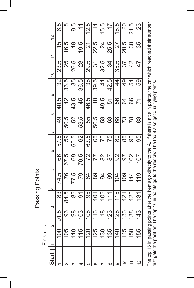Passing Points Passing Points

| т       |  |
|---------|--|
| α<br>ť, |  |
| -       |  |
|         |  |
|         |  |

| $\frac{2}{3}$                       | 6.5           | $\infty$       | 9.5           | $\widetilde{\mathcal{L}}$ | 12.5            | $\overline{4}$           | 15.5           | 17        | 18.5           | 20             | 21.5            | 23             |
|-------------------------------------|---------------|----------------|---------------|---------------------------|-----------------|--------------------------|----------------|-----------|----------------|----------------|-----------------|----------------|
| $\frac{1}{1}$                       | 15            | 16.5           | $\frac{8}{1}$ | 19.5                      | $\overline{2}$  | 22.5                     | $\overline{2}$ | 25.5      | 27             | 28.5           | $\infty$        | 35             |
| $\frac{0}{1}$                       | 23.5          | 25             | 26.5          | $\overline{28}$           | 29.5            | $\overline{\mathcal{S}}$ | 32.5           | 34        | 35.5           | 37             | $\frac{2}{3}$   | $\cfrac{1}{4}$ |
| $\circ$                             | 32            | 33.5           | 35            | 36.5                      | $\overline{38}$ | 39.5                     | $\frac{4}{5}$  | 42.5      | $\overline{4}$ | $\frac{1}{2}$  | 54              | 59             |
| $\infty$                            | 40.5          | 42             | 43.5          | 45                        | 46.5            | 48                       | 49.5           | 51        | 56             | $\overline{6}$ | 66              | 71             |
| Ŋ                                   | $\frac{1}{2}$ | 50.5           | 52            | 53.5                      | 55              | 56.5                     | 58             | 63        | 89             | 73             | $\frac{8}{2}$   | 83             |
| $\circ$                             | 57.5          | 59             | 60.5          | 62                        | 63.5            | 65                       | 20             | 75        | 80             | 85             | <b>OO</b>       | 95             |
| $\overline{5}$                      | 66            | 67.5           | 69            | 70.5                      | 72              | $\overline{7}$           | 82             | $\approx$ | သ              | 56             | 102             | 107            |
| 4                                   | 74.5          | 76             | 77.5          | 79                        | 84              | 88                       | $\overline{6}$ | 99        | 104            | 109            | 114             | 119            |
|                                     | 83            | 84.5           | 86            | $\overline{5}$            | 96              | 101                      | 106            | 111       | 116            | 121            | 126             | 131            |
| $\frac{1}{2}$<br>$\scriptstyle\sim$ | <u>ნ</u>      | $\frac{5}{23}$ | 98            | 5 <sup>o</sup>            | $\infty$        |                          | $\frac{1}{2}$  | 23        | 28             | ကိ             | $\overline{38}$ | 43             |
|                                     |               | 105            |               | 15                        | 120             | 125                      | 130            | 135       | $\frac{1}{4}$  | 145            | 150             | 155            |
| Start                               |               |                |               |                           | ٢               | c                        |                | ∞         |                | c              |                 | $\frac{2}{1}$  |

The top 16 in passing points after the heats go directly to the A. If there is a tie in points, the car which reached their number<br>first gets the position. The top 10 in points go to the redraw. The top 8 also get qualifyi The top 16 in passing points after the heats go directly to the A. If there is a tie in points, the car which reached their number first gets the position. The top 10 in points go to the redraw. The top 8 also get qualifying points.